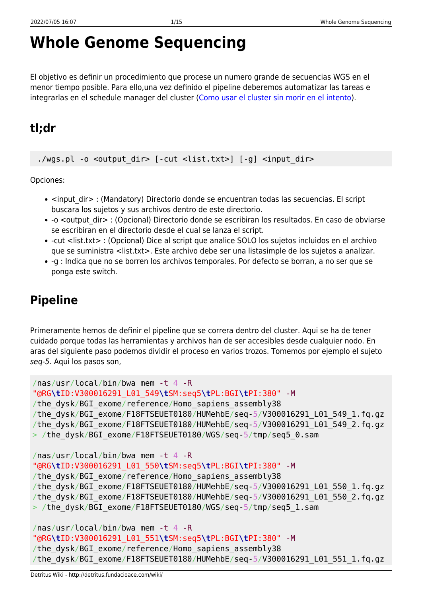# **Whole Genome Sequencing**

El objetivo es definir un procedimiento que procese un numero grande de secuencias WGS en el menor tiempo posible. Para ello,una vez definido el pipeline deberemos automatizar las tareas e integrarlas en el schedule manager del cluster ([Como usar el cluster sin morir en el intento\)](http://detritus.fundacioace.com/wiki/doku.php?id=cluster).

# **tl;dr**

./wgs.pl -o <output dir> [-cut <list.txt>] [-g] <input dir>

Opciones:

- <input dir> : (Mandatory) Directorio donde se encuentran todas las secuencias. El script buscara los sujetos y sus archivos dentro de este directorio.
- -o <output dir> : (Opcional) Directorio donde se escribiran los resultados. En caso de obviarse se escribiran en el directorio desde el cual se lanza el script.
- -cut <list.txt> : (Opcional) Dice al script que analice SOLO los sujetos incluidos en el archivo que se suministra <list.txt>. Este archivo debe ser una listasimple de los sujetos a analizar.
- -g : Indica que no se borren los archivos temporales. Por defecto se borran, a no ser que se ponga este switch.

# **Pipeline**

Primeramente hemos de definir el pipeline que se correra dentro del cluster. Aqui se ha de tener cuidado porque todas las herramientas y archivos han de ser accesibles desde cualquier nodo. En aras del siguiente paso podemos dividir el proceso en varios trozos. Tomemos por ejemplo el sujeto seq-5. Aqui los pasos son,

```
/nas/usr/local/bin/bwa mem -t 4 -R
"@RG\tID:V300016291_L01_549\tSM:seq5\tPL:BGI\tPI:380" -M
/the_dysk/BGI_exome/reference/Homo_sapiens_assembly38
/the_dysk/BGI_exome/F18FTSEUET0180/HUMehbE/seq-5/V300016291_L01_549_1.fq.gz
/the_dysk/BGI_exome/F18FTSEUET0180/HUMehbE/seq-5/V300016291_L01_549_2.fq.gz
> /the dysk/BGI exome/F18FTSEUET0180/WGS/seq-5/tmp/seq5 0.sam
/nas/usr/local/bin/bwa mem -t 4 -R
"@RG\tID:V300016291_L01_550\tSM:seq5\tPL:BGI\tPI:380" -M
/the_dysk/BGI_exome/reference/Homo_sapiens_assembly38
/the_dysk/BGI_exome/F18FTSEUET0180/HUMehbE/seq-5/V300016291_L01_550_1.fq.gz
/the_dysk/BGI_exome/F18FTSEUET0180/HUMehbE/seq-5/V300016291_L01_550_2.fq.gz
> /the_dysk/BGI_exome/F18FTSEUET0180/WGS/seq-5/tmp/seq5_1.sam
/nas/usr/local/bin/bwa mem -t 4 -R
```

```
"@RG\tID:V300016291_L01_551\tSM:seq5\tPL:BGI\tPI:380" -M
/the dysk/BGI exome/reference/Homo sapiens assembly38
/the dysk/BGI exome/F18FTSEUET0180/HUMehbE/seq-5/V300016291 L01 551 1.fq.gz
```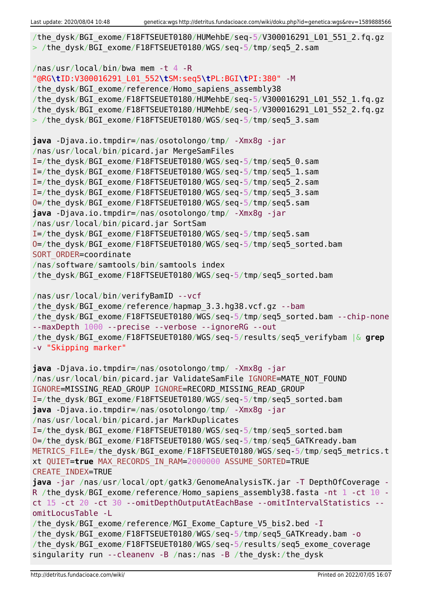```
/the dysk/BGI exome/F18FTSEUET0180/HUMehbE/seq-5/V300016291 L01 551 2.fq.gz
> /the dysk/BGI exome/F18FTSEUET0180/WGS/seq-5/tmp/seq5_2.sam
/nas/usr/local/bin/bwa mem -t 4 -R
"@RG\tID:V300016291_L01_552\tSM:seq5\tPL:BGI\tPI:380" -M
/the dysk/BGI exome/reference/Homo sapiens assembly38
/the_dysk/BGI_exome/F18FTSEUET0180/HUMehbE/seq-5/V300016291_L01_552_1.fq.gz
/the_dysk/BGI_exome/F18FTSEUET0180/HUMehbE/seq-5/V300016291_L01_552_2.fq.gz
> /the dysk/BGI exome/F18FTSEUET0180/WGS/seq-5/tmp/seq5 3.sam
java -Djava.io.tmpdir=/nas/osotolongo/tmp/ -Xmx8g -jar
/nas/usr/local/bin/picard.jar MergeSamFiles
I=/the_dysk/BGI_exome/F18FTSEUET0180/WGS/seq-5/tmp/seq5_0.sam
I=/the_dysk/BGI_exome/F18FTSEUET0180/WGS/seq-5/tmp/seq5_1.sam
I=/the_dysk/BGI_exome/F18FTSEUET0180/WGS/seq-5/tmp/seq5_2.sam
I=/the_dysk/BGI_exome/F18FTSEUET0180/WGS/seq-5/tmp/seq5_3.sam
O=/the_dysk/BGI_exome/F18FTSEUET0180/WGS/seq-5/tmp/seq5.sam
java -Djava.io.tmpdir=/nas/osotolongo/tmp/ -Xmx8g -jar
/nas/usr/local/bin/picard.jar SortSam
I=/the_dysk/BGI_exome/F18FTSEUET0180/WGS/seq-5/tmp/seq5.sam
O=/the_dysk/BGI_exome/F18FTSEUET0180/WGS/seq-5/tmp/seq5_sorted.bam
SORT ORDER=coordinate
/nas/software/samtools/bin/samtools index
/the_dysk/BGI_exome/F18FTSEUET0180/WGS/seq-5/tmp/seq5_sorted.bam
/nas/usr/local/bin/verifyBamID --vcf
/the dysk/BGI exome/reference/hapmap 3.3.hg38.vcf.gz --bam
/the dysk/BGI exome/F18FTSEUET0180/WGS/seq-5/tmp/seq5 sorted.bam --chip-none
--maxDepth 1000 --precise --verbose --ignoreRG --out
/the_dysk/BGI_exome/F18FTSEUET0180/WGS/seq-5/results/seq5_verifybam |& grep
-v "Skipping marker"
java -Djava.io.tmpdir=/nas/osotolongo/tmp/ -Xmx8g -jar
/nas/usr/local/bin/picard.jar ValidateSamFile IGNORE=MATE_NOT_FOUND
IGNORE=MISSING_READ_GROUP IGNORE=RECORD_MISSING_READ_GROUP
I=/the_dysk/BGI_exome/F18FTSEUET0180/WGS/seq-5/tmp/seq5_sorted.bam
java -Djava.io.tmpdir=/nas/osotolongo/tmp/ -Xmx8g -jar
/nas/usr/local/bin/picard.jar MarkDuplicates
I=/the_dysk/BGI_exome/F18FTSEUET0180/WGS/seq-5/tmp/seq5_sorted.bam
O=/the_dysk/BGI_exome/F18FTSEUET0180/WGS/seq-5/tmp/seq5_GATKready.bam
METRICS FILE=/the dysk/BGI exome/F18FTSEUET0180/WGS/seq-5/tmp/seq5 metrics.t
xt QUIET=true MAX_RECORDS_IN_RAM=2000000 ASSUME_SORTED=TRUE
CREATE_INDEX=TRUE
java -jar /nas/usr/local/opt/gatk3/GenomeAnalysisTK.jar -T DepthOfCoverage -
R /the dysk/BGI exome/reference/Homo sapiens assembly38.fasta -nt 1 -ct 10 -
ct 15 -ct 20 -ct 30 --omitDepthOutputAtEachBase --omitIntervalStatistics --
omitLocusTable -L
/the dysk/BGI exome/reference/MGI Exome Capture V5 bis2.bed -I
/the_dysk/BGI_exome/F18FTSEUET0180/WGS/seq-5/tmp/seq5_GATKready.bam -o
/the_dysk/BGI_exome/F18FTSEUET0180/WGS/seq-5/results/seq5_exome_coverage
singularity run --cleanenv -B /nas:/nas -B /the_dysk:/the_dysk
```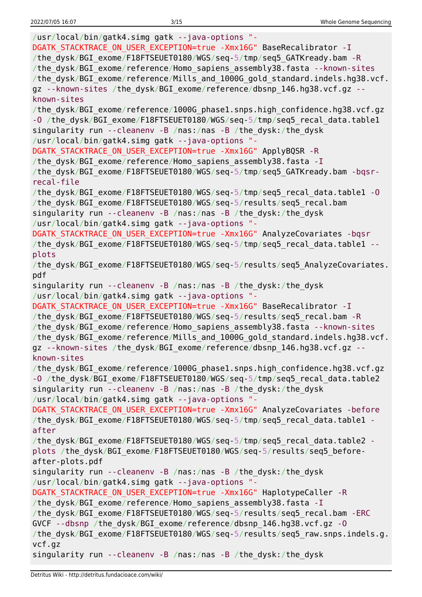/usr/local/bin/gatk4.simg gatk --java-options "- DGATK STACKTRACE ON USER EXCEPTION=true -Xmx16G" BaseRecalibrator -I /the\_dysk/BGI\_exome/F18FTSEUET0180/WGS/seq-5/tmp/seq5\_GATKready.bam -R /the\_dysk/BGI\_exome/reference/Homo\_sapiens\_assembly38.fasta --known-sites /the\_dysk/BGI\_exome/reference/Mills\_and\_1000G\_gold\_standard.indels.hg38.vcf. gz --known-sites /the dysk/BGI exome/reference/dbsnp 146.hg38.vcf.gz -known-sites /the\_dysk/BGI\_exome/reference/1000G\_phase1.snps.high\_confidence.hg38.vcf.gz -O /the dysk/BGI exome/F18FTSEUET0180/WGS/seq-5/tmp/seq5 recal data.table1 singularity run --cleanenv -B /nas:/nas -B /the\_dysk:/the\_dysk /usr/local/bin/gatk4.simg gatk --java-options "- DGATK\_STACKTRACE\_ON\_USER\_EXCEPTION=true -Xmx16G" ApplyBQSR -R /the dysk/BGI exome/reference/Homo sapiens assembly38.fasta -I /the\_dysk/BGI\_exome/F18FTSEUET0180/WGS/seq-5/tmp/seq5\_GATKready.bam -bqsrrecal-file /the\_dysk/BGI\_exome/F18FTSEUET0180/WGS/seq-5/tmp/seq5\_recal\_data.table1 -O /the dysk/BGI exome/F18FTSEUET0180/WGS/seq-5/results/seq5 recal.bam singularity run --cleanenv -B /nas:/nas -B /the\_dysk:/the\_dysk /usr/local/bin/gatk4.simg gatk --java-options "- DGATK STACKTRACE ON USER EXCEPTION=true -Xmx16G" AnalyzeCovariates -bqsr /the dysk/BGI exome/F18FTSEUET0180/WGS/seq-5/tmp/seq5\_recal\_data.table1 -plots /the dysk/BGI exome/F18FTSEUET0180/WGS/seq-5/results/seq5 AnalyzeCovariates. pdf singularity run --cleanenv -B /nas:/nas -B /the\_dysk:/the\_dysk /usr/local/bin/gatk4.simg gatk --java-options "- DGATK STACKTRACE ON USER EXCEPTION=true -Xmx16G" BaseRecalibrator -I /the dysk/BGI exome/F18FTSEUET0180/WGS/seq-5/results/seq5 recal.bam -R /the dysk/BGI exome/reference/Homo sapiens assembly38.fasta --known-sites /the\_dysk/BGI\_exome/reference/Mills\_and\_1000G\_gold\_standard.indels.hg38.vcf. gz --known-sites /the dysk/BGI exome/reference/dbsnp 146.hg38.vcf.gz -known-sites /the\_dysk/BGI\_exome/reference/1000G\_phase1.snps.high\_confidence.hg38.vcf.gz -O /the dysk/BGI exome/F18FTSEUET0180/WGS/seq-5/tmp/seq5\_recal\_data.table2 singularity run --cleanenv -B /nas:/nas -B /the\_dysk:/the\_dysk /usr/local/bin/gatk4.simg gatk --java-options "- DGATK STACKTRACE ON USER EXCEPTION=true -Xmx16G" AnalyzeCovariates -before /the dysk/BGI exome/F18FTSEUET0180/WGS/seq-5/tmp/seq5 recal data.table1 after /the\_dysk/BGI\_exome/F18FTSEUET0180/WGS/seq-5/tmp/seq5\_recal\_data.table2 plots /the\_dysk/BGI\_exome/F18FTSEUET0180/WGS/seq-5/results/seq5\_beforeafter-plots.pdf singularity run --cleanenv -B /nas:/nas -B /the\_dysk:/the\_dysk /usr/local/bin/gatk4.simg gatk --java-options "- DGATK STACKTRACE ON USER EXCEPTION=true -Xmx16G" HaplotypeCaller -R /the dysk/BGI exome/reference/Homo sapiens assembly38.fasta -I /the dysk/BGI exome/F18FTSEUET0180/WGS/seq-5/results/seq5 recal.bam -ERC GVCF --dbsnp /the\_dysk/BGI\_exome/reference/dbsnp\_146.hg38.vcf.gz -O /the\_dysk/BGI\_exome/F18FTSEUET0180/WGS/seq-5/results/seq5\_raw.snps.indels.g. vcf.gz singularity run --cleanenv -B /nas:/nas -B /the\_dysk:/the\_dysk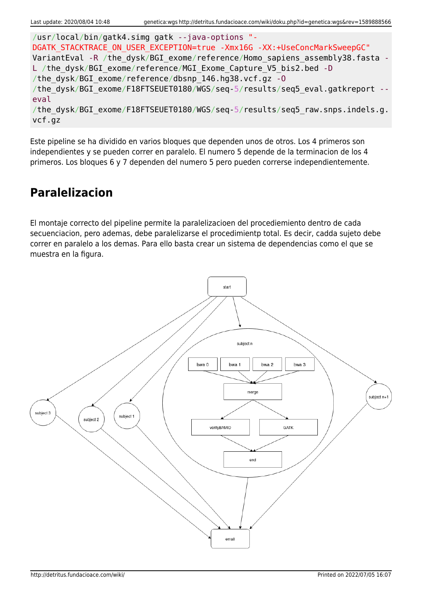```
/usr/local/bin/gatk4.simg gatk --java-options "-
DGATK STACKTRACE ON USER EXCEPTION=true -Xmx16G -XX:+UseConcMarkSweepGC"
VariantEval -R /the dysk/BGI exome/reference/Homo sapiens assembly38.fasta -
L /the dysk/BGI exome/reference/MGI Exome Capture V5 bis2.bed -D
/the_dysk/BGI_exome/reference/dbsnp_146.hg38.vcf.gz -O
/the dysk/BGI exome/F18FTSEUET0180/WGS/seq-5/results/seq5 eval.gatkreport --
eval
/the dysk/BGI exome/F18FTSEUET0180/WGS/seq-5/results/seq5 raw.snps.indels.g.
vcf.gz
```
Este pipeline se ha dividido en varios bloques que dependen unos de otros. Los 4 primeros son independientes y se pueden correr en paralelo. El numero 5 depende de la terminacion de los 4 primeros. Los bloques 6 y 7 dependen del numero 5 pero pueden correrse independientemente.

### **Paralelizacion**

El montaje correcto del pipeline permite la paralelizacioen del procediemiento dentro de cada secuenciacion, pero ademas, debe paralelizarse el procedimientp total. Es decir, cadda sujeto debe correr en paralelo a los demas. Para ello basta crear un sistema de dependencias como el que se muestra en la figura.

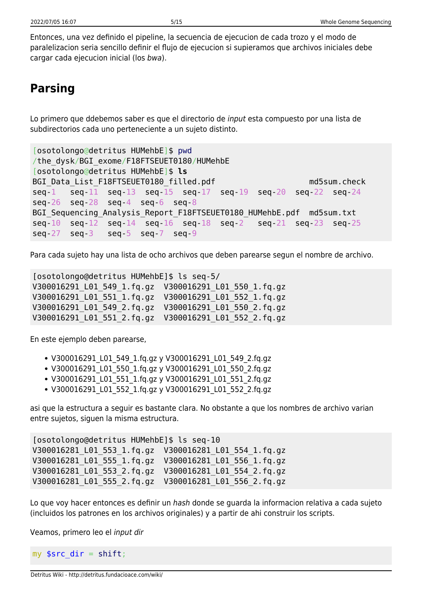Entonces, una vez definido el pipeline, la secuencia de ejecucion de cada trozo y el modo de paralelizacion seria sencillo definir el flujo de ejecucion si supieramos que archivos iniciales debe cargar cada ejecucion inicial (los bwa).

# **Parsing**

Lo primero que ddebemos saber es que el directorio de input esta compuesto por una lista de subdirectorios cada uno perteneciente a un sujeto distinto.

```
[osotolongo@detritus HUMehbE]$ pwd
/the_dysk/BGI_exome/F18FTSEUET0180/HUMehbE
[osotolongo@detritus HUMehbE]$ ls
BGI Data List F18FTSEUET0180 filled.pdf md5sum.check
seq-1 seq-11 seq-13 seq-15 seq-17 seq-19 seq-20 seq-22 seq-24
seq-26 seq-28 seq-4 seq-6 seq-8
BGI Sequencing Analysis Report F18FTSEUET0180 HUMehbE.pdf md5sum.txt
seq-10 seq-12 seq-14 seq-16 seq-18 seq-2 seq-21 seq-23 seq-25
seq-27 seq-3 seq-5 seq-7 seq-9
```
Para cada sujeto hay una lista de ocho archivos que deben parearse segun el nombre de archivo.

[osotolongo@detritus HUMehbE]\$ ls seq-5/ V300016291\_L01\_549\_1.fq.gz V300016291\_L01\_550\_1.fq.gz V300016291\_L01\_551\_1.fq.gz V300016291\_L01\_552\_1.fq.gz V300016291\_L01\_549\_2.fq.gz V300016291\_L01\_550\_2.fq.gz V300016291\_L01\_551\_2.fq.gz V300016291\_L01\_552\_2.fq.gz

En este ejemplo deben parearse,

- V300016291\_L01\_549\_1.fq.gz y V300016291\_L01\_549\_2.fq.gz
- V300016291 L01 550 1.fq.gz y V300016291 L01 550 2.fq.gz
- V300016291 L01 551 1.fq.gz y V300016291 L01 551 2.fq.gz
- V300016291\_L01\_552\_1.fq.gz y V300016291\_L01\_552\_2.fq.gz

asi que la estructura a seguir es bastante clara. No obstante a que los nombres de archivo varian entre sujetos, siguen la misma estructura.

```
[osotolongo@detritus HUMehbE]$ ls seq-10
V300016281_L01_553_1.fq.gz V300016281_L01_554_1.fq.gz
V300016281_L01_555_1.fq.gz V300016281_L01_556_1.fq.gz
V300016281_L01_553_2.fq.gz V300016281_L01_554_2.fq.gz
V300016281_L01_555_2.fq.gz V300016281_L01_556_2.fq.gz
```
Lo que voy hacer entonces es definir un hash donde se quarda la informacion relativa a cada sujeto (incluidos los patrones en los archivos originales) y a partir de ahi construir los scripts.

Veamos, primero leo el input dir

my  $\frac{1}{2}$  src\_dir = [shift;](http://perldoc.perl.org/functions/shift.html)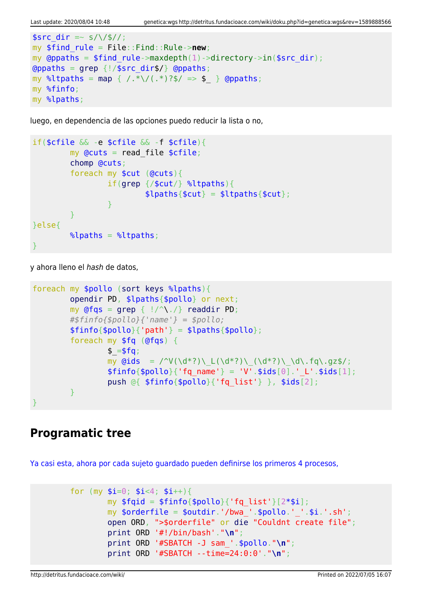```
ssrc dir =~ s/\/$//;
my $find_rule = File::Find::Rule->new;
my @ppaths = $find rule->maxdepth(1)->directory->in(%src dir);\alphagrep {!/$src dir$/} \alpha (appaths;
map { /.*\/(.*)?$/ => $ } @ppaths;
my %finfo;
my %lpaths;
```
luego, en dependencia de las opciones puedo reducir la lista o no,

```
if($cfile && -e $cfile && -f $cfile){
           my Qcuts = read file scfile;
            chomp @cuts;
            foreach my $cut (@cuts){
                        if(grep {/$cut/} %ltpaths){
                                  $lpaths{math;
and the state of the state of the state of the state of the state of the state of the state of the state of the
 }
}else{
           \lambdalpaths = \lambdaltpaths;
}
```
y ahora lleno el hash de datos,

```
foreach my $pollo (sort keys %lpaths){
           opendir PD, $lpaths{$pollo} or next;
          my grep { |}/^{\wedge}\. /readdir PD;
           #$finfo{$pollo}{'name'} = $pollo;
          $finfo{$pollo}{'vab} = $lpaths{$pollo}$; foreach my $fq (@fqs) {
                    $ = $fg;my \text{Gids} = \text{V}(\dagger^*) \left( \frac{d^*?}{d^*?} \right) \left( \frac{d^*?}{d^*?} \right) \cdot \text{d}\cdot\text{fq}\cdot\text{qz}\right);$finfo{}$pollo{}' (fq name' } = 'V'.$ids[0].' L'.$ids[1];
                     push @{ $finfo{$pollo}{'fq_list'} }, $ids[2];
 }
}
```
#### **Programatic tree**

[Ya casi esta, ahora por cada sujeto guardado pueden definirse los primeros 4 procesos,](#page--1-0)

```
for (my $i=0; $i<4; $i++}{
        my $fqid = $finfo{$pollo}{'rq list'}[2*$i]; my $orderfile = $outdir.'/bwa_'.$pollo.'_'.$i.'.sh';
         open ORD, ">$orderfile" or die "Couldnt create file";
         print ORD '#!/bin/bash'."\n";
         print ORD '#SBATCH -J sam_'.$pollo."\n";
         print ORD '#SBATCH --time=24:0:0'."\n";
```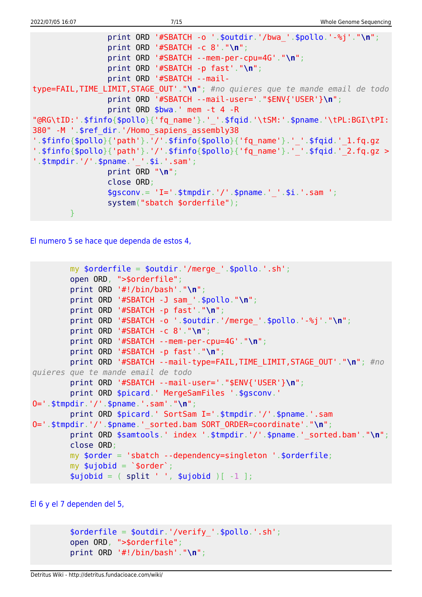```
 print ORD '#SBATCH -o '.$outdir.'/bwa_'.$pollo.'-%j'."\n";
                 print ORD '#SBATCH -c 8'."\n";
                 print ORD '#SBATCH --mem-per-cpu=4G'."\n";
                 print ORD '#SBATCH -p fast'."\n";
                 print ORD '#SBATCH --mail-
type=FAIL,TIME_LIMIT,STAGE_OUT'."\n"; #no quieres que te mande email de todo
                 print ORD '#SBATCH --mail-user='."$ENV{'USER'}\n";
                 print ORD $bwa.' mem -t 4 -R
"@RG\tID:'.$finfo{$pollo}{'fq_name'}.'_'.$fqid.'\tSM:'.$pname.'\tPL:BGI\tPI:
380" -M '.$ref_dir.'/Homo_sapiens_assembly38
'.$finfo{$pollo}{'path'}.'/'.$finfo{$pollo}{'fq_name'}.'_'.$fqid.'_1.fq.qz
'.$finfo{$pollo}{'path'}.'/'.$finfo{$pollo}{'fq_name'}.'_'.$fqid.'_2.fq.gz >
'.$tmpdir.'/'.$pname.' '.$i.'.sam';
                 print ORD "\n";
                 close ORD;
                $gsconv = 'I='. $tmodir.'/'.$pname.''.§i.'.sam '; system("sbatch $orderfile");
 }
```
[El numero 5 se hace que dependa de estos 4,](#page--1-0)

```
my \text{sortederfile} = \text{south}.'/merge '.\text{spollo}.'.sh';
         open ORD, ">$orderfile";
         print ORD '#!/bin/bash'."\n";
         print ORD '#SBATCH -J sam_'.$pollo."\n";
         print ORD '#SBATCH -p fast'."\n";
         print ORD '#SBATCH -o '.$outdir.'/merge_'.$pollo.'-%j'."\n";
         print ORD '#SBATCH -c 8'."\n";
         print ORD '#SBATCH --mem-per-cpu=4G'."\n";
         print ORD '#SBATCH -p fast'."\n";
         print ORD '#SBATCH --mail-type=FAIL,TIME_LIMIT,STAGE_OUT'."\n"; #no
quieres que te mande email de todo
         print ORD '#SBATCH --mail-user='."$ENV{'USER'}\n";
        print ORD $picard.' MergeSamFiles '.$gsconv.'
O='.$tmpdir.'/'.$pname.'.sam'."\n";
         print ORD $picard.' SortSam I='.$tmpdir.'/'.$pname.'.sam
O='.$tmpdir.'/'.$pname.'_sorted.bam SORT_ORDER=coordinate'."\n";
        print ORD $samtools.' index '.$tmpdir.'/'.$pname.' sorted.bam'."\n";
         close ORD;
         my $order = 'sbatch --dependency=singleton '.$orderfile;
        my \text{$\mathfrak{su}$jobid = '$order';}split ' ', $ujobid )[-1 ];
```
[El 6 y el 7 dependen del 5,](#page--1-0)

```
$orderfile = $outdir.'/verify'.spollo.'.sh'; open ORD, ">$orderfile";
 print ORD '#!/bin/bash'."\n";
```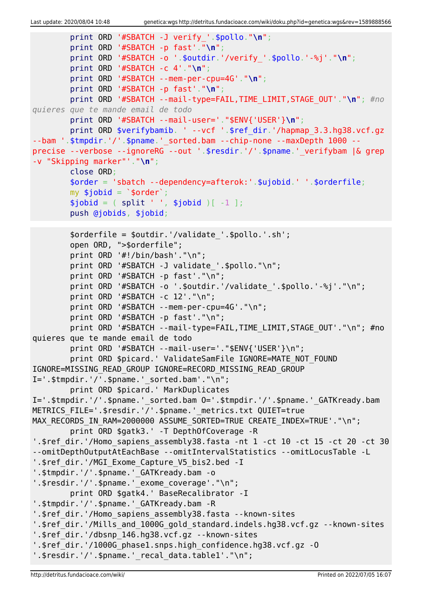```
 print ORD '#SBATCH -J verify_'.$pollo."\n";
         print ORD '#SBATCH -p fast'."\n";
         print ORD '#SBATCH -o '.$outdir.'/verify_'.$pollo.'-%j'."\n";
         print ORD '#SBATCH -c 4'."\n";
         print ORD '#SBATCH --mem-per-cpu=4G'."\n";
         print ORD '#SBATCH -p fast'."\n";
         print ORD '#SBATCH --mail-type=FAIL,TIME_LIMIT,STAGE_OUT'."\n"; #no
quieres que te mande email de todo
         print ORD '#SBATCH --mail-user='."$ENV{'USER'}\n";
        print ORD $verifybamib. ' --vcf '.$ref dir.'/hapmap 3.3.hg38.vcf.gz
--bam '.$tmpdir.'/'.$pname.'_sorted.bam --chip-none --maxDepth 1000 --
precise --verbose --ignoreRG --out '.$resdir.'/'.$pname.'_verifybam |& grep
-v "Skipping marker"'."\n";
         close ORD;
         $order = 'sbatch --dependency=afterok:'.$ujobid.' '.$orderfile;
        my $jobid = '$order';split ' ', $jobid )[-1 ]; push @jobids, $jobid;
         $orderfile = $outdir.'/validate_'.$pollo.'.sh';
         open ORD, ">$orderfile";
         print ORD '#!/bin/bash'."\n";
        print ORD '#SBATCH -J validate '.$pollo."\n";
         print ORD '#SBATCH -p fast'."\n";
         print ORD '#SBATCH -o '.$outdir.'/validate_'.$pollo.'-%j'."\n";
         print ORD '#SBATCH -c 12'."\n";
         print ORD '#SBATCH --mem-per-cpu=4G'."\n";
         print ORD '#SBATCH -p fast'."\n";
        print ORD '#SBATCH --mail-type=FAIL, TIME LIMIT, STAGE_OUT'."\n"; #no
quieres que te mande email de todo
        print ORD '#SBATCH --mail-user='."$ENV{'USER'}\n";
        print ORD $picard.' ValidateSamFile IGNORE=MATE NOT FOUND
IGNORE=MISSING_READ_GROUP IGNORE=RECORD_MISSING_READ_GROUP
I=' .$tmpdir.'/'.$pname.' sorted.bam'."\n" print ORD $picard.' MarkDuplicates
I='.$tmpdir.'/'.$pname.' sorted.bam 0='.$tmpdir.'/'.$pname.' GATKready.bam
METRICS FILE='.$resdir.'/'.$pname.' metrics.txt QUIET=true
MAX RECORDS IN RAM=2000000 ASSUME SORTED=TRUE CREATE INDEX=TRUE'."\n";
         print ORD $gatk3.' -T DepthOfCoverage -R
'.$ref dir.'/Homo sapiens_assembly38.fasta -nt 1 -ct 10 -ct 15 -ct 20 -ct 30
--omitDepthOutputAtEachBase --omitIntervalStatistics --omitLocusTable -L
'.$ref dir.'/MGI Exome Capture V5 bis2.bed -I
'.$tmpdir.'/'.$pname.'_GATKready.bam -o
'.$resdir.'/'.$pname.' exome coverage'."\n";
         print ORD $gatk4.' BaseRecalibrator -I
'.$tmpdir.'/'.$pname.' GATKready.bam -R
'.$ref dir.'/Homo sapiens assembly38.fasta --known-sites
'.$ref dir.'/Mills and 1000G gold standard.indels.hg38.vcf.gz --known-sites
'.$ref_dir.'/dbsnp_146.hg38.vcf.gz --known-sites
'.$ref_dir.'/1000G_phase1.snps.high_confidence.hg38.vcf.gz -O
'.$resdir.'/'.$pname.' recal data.table1'."\n";
```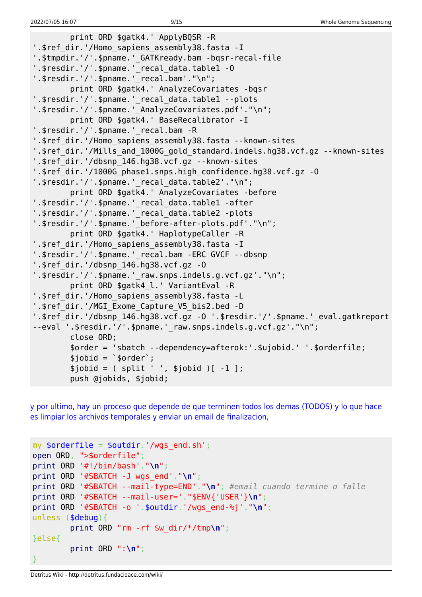```
 print ORD $gatk4.' ApplyBQSR -R
'.$ref dir.'/Homo sapiens assembly38.fasta -I
'.$tmpdir.'/'.$pname.' GATKready.bam -bqsr-recal-file
'.$resdir.'/'.$pname.' recal data.table1 -0
'.$resdir.'/'.$pname.'_recal.bam'."\n";
         print ORD $gatk4.' AnalyzeCovariates -bqsr
'.$resdir.'/'.$pname.'_recal_data.table1 --plots
'.$resdir.'/'.$pname.' AnalyzeCovariates.pdf'."\n";
         print ORD $gatk4.' BaseRecalibrator -I
'.$resdir.'/'.$pname.' recal.bam -R
'.$ref dir.'/Homo sapiens assembly38.fasta --known-sites
'.$ref dir.'/Mills and 1000G gold standard.indels.hg38.vcf.gz --known-sites
'.$ref_dir.'/dbsnp_146.hg38.vcf.gz --known-sites
'.$ref_dir.'/1000G_phase1.snps.high_confidence.hg38.vcf.gz -O
'.$resdir.'/'.$pname.' recal data.table2'."\n";
         print ORD $gatk4.' AnalyzeCovariates -before
'.$resdir.'/'.$pname.'_recal_data.table1 -after
'.$resdir.'/'.$pname.' recal data.table2 -plots
'.$resdir.'/'.$pname.' before-after-plots.pdf'."\n";
         print ORD $gatk4.' HaplotypeCaller -R
'.$ref dir.'/Homo sapiens assembly38.fasta -I
'.$resdir.'/'.$pname.'_recal.bam -ERC GVCF --dbsnp
'.$ref_dir.'/dbsnp_146.hg38.vcf.gz -O
'.$resdir.'/'.$pname.'_raw.snps.indels.g.vcf.gz'."\n";
         print ORD $gatk4_l.' VariantEval -R
'.$ref dir.'/Homo sapiens assembly38.fasta -L
'.$ref_dir.'/MGI_Exome_Capture_V5_bis2.bed -D
'.$ref_dir.'/dbsnp_146.hg38.vcf.gz -O '.$resdir.'/'.$pname.'_eval.gatkreport
--eval '.$resdir.'/'.$pname.' raw.snps.indels.g.vcf.gz'."\n";
         close ORD;
         $order = 'sbatch --dependency=afterok:'.$ujobid.' '.$orderfile;
        $jobid = 'sorder';$jobid = ( split ' ', $jobid )[-1 ]; push @jobids, $jobid;
```
[y por ultimo, hay un proceso que depende de que terminen todos los demas \(TODOS\) y lo que hace](#page--1-0) [es limpiar los archivos temporales y enviar un email de finalizacion,](#page--1-0)

```
my $orderfile = $outdir.'/wqs end.sh';
open ORD, ">$orderfile";
print ORD '#!/bin/bash'."\n";
print ORD '#SBATCH -J wgs_end'."\n";
print ORD '#SBATCH --mail-type=END'."\n"; #email cuando termine o falle
print ORD '#SBATCH --mail-user='."$ENV{'USER'}\n";
print ORD '#SBATCH -o '.$outdir.'/wgs_end-%j'."\n";
unless ($debug){
         print ORD "rm -rf $w_dir/*/tmp\n";
}else{
         print ORD ":\n";
}
```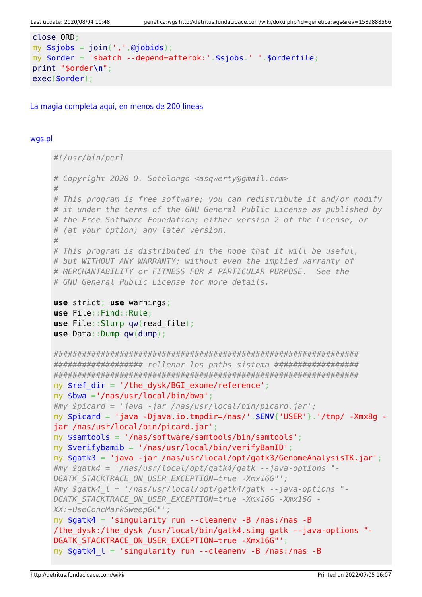```
close ORD:
my $sjobs = join(',',@jobids);
my $order = 'sbatch --depend=afterok:'.$sjobs.' '.$orderfile;
print "$order\n";
exec(<code>border)</code>;
```
La magia completa agui, en menos de 200 lineas

#### wgs.pl

```
#!/usr/bin/perl
# Copyright 2020 O. Sotolongo <asqwerty@gmail.com>
## This program is free software; you can redistribute it and/or modify
# it under the terms of the GNU General Public License as published by
# the Free Software Foundation; either version 2 of the License, or
# (at your option) any later version.
## This program is distributed in the hope that it will be useful,
# but WITHOUT ANY WARRANTY; without even the implied warranty of
# MERCHANTABILITY or FITNESS FOR A PARTICULAR PURPOSE. See the
# GNU General Public License for more details.
use strict; use warnings;
use File:: Find:: Rule;
use File::Slurp qw(read file);use Data::Dump qw(dump);
################### rellenar los paths sistema ###################
mv $ref dir = '/the dvsk/BGI exome/reference':
my $bwa ='/nas/usr/local/bin/bwa';
#my $picard = 'java -jar /nas/usr/local/bin/picard.jar';
my $picard = 'java -Djava.io.tmpdir=/nas/'.$ENV{'USER'}.'/tmp/ -Xmx8q -
jar /nas/usr/local/bin/picard.jar';
my $samtools = '/nas/software/samtools/bin/samtools';
my $verifybamib = '/nas/usr/local/bin/verifyBamID';
my $gatk3 = 'java -jar /nas/usr/local/opt/gatk3/GenomeAnalysisTK.jar';#my $gatk4 = '/nas/usr/local/opt/gatk4/gatk --java-options "-
DGATK STACKTRACE ON USER EXCEPTION=true -Xmx16G"';
\#my $gatk4 l = '/nas/usr/local/opt/gatk4/gatk --java-options "-
DGATK STACKTRACE ON USER EXCEPTION=true -Xmx16G -Xmx16G -
XX:+UseConcMarkSweepGC"';
my $gatk4 = 'singularity run --cleanenv -B /nas:/nas -B/the dysk:/the dysk /usr/local/bin/gatk4.simg gatk --java-options "-
DGATK STACKTRACE ON USER EXCEPTION=true -Xmx16G"';
my $gatk4 \, l = 'singularity run --cleanenv -B /nas:/nas -B
```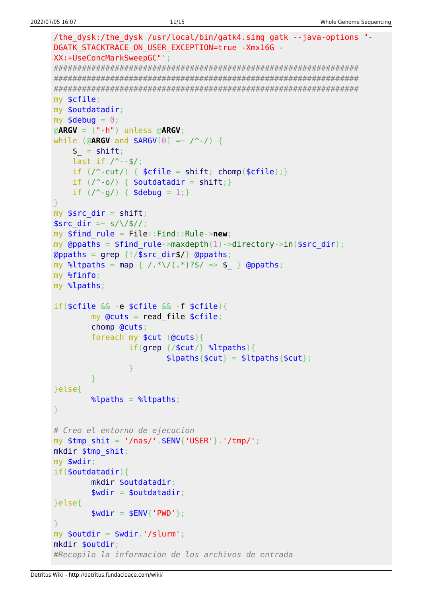```
/the dysk:/the dysk /usr/local/bin/gatk4.simg gatk --java-options "-
DGATK STACKTRACE ON USER EXCEPTION=true -Xmx16G -
XX:+UseConcMarkSweepGC"';
my $cfile;
my $outdatadir;
my $debug = 0;\phiARGV = (" - h") unless \phiARGV;
while (@ARGV and $ARGV[0] =~ \wedge -/) {
    $ = shift;last if / --$/;
    if (\wedge-cut/) { \text{$\mathsf{f}(\mathsf{f})$} \text{$\mathsf{f}(\mathsf{f})$} = shift; chomp(\text{$\mathsf{f}(\mathsf{f})$}); }
    if (\wedge \neg \circ \wedge) { $outdatadir = shift; }
    if (\frac{9}{9}) { $debug = 1; }
my $src dir = shift;
$src dir = \sim s/\/$//;
my $find rule = File::Find::Rule->new;my @ppaths = $find rule->maxdepth(1)->directory->in($src dir);
\Thetappaths = grep {!/$src_dir$/} \Thetappaths;
my %ltpaths = map { /.*\/(.*)?$/ => $ } @ppaths;
my %finfo;
my %lpaths;
if(\frac{2}{3}cfile \& -e \frac{2}{3}cfile \& -f \frac{2}{3}cfile)my Qcuts = read file $cfile;chomp @cuts;
        foreach my $cut (@cuts){
                if(qrep / $cut/} %ltpaths){
                        \{[paths{$cut} = $ltpaths{$cut};
                \mathcal{E}}else{
        \lambdalpaths = \lambdaltpaths;
<sup>}</sup>
# Creo el entorno de ejecucion
my $tmp \; shift = '/nas/'.$ENV{''USER'}'.'/tmp/';mkdir $tmp shit;
my $wdir;
if(<b>soundatadir</b>)mkdir $outdatadir;
        $width = 5outdatadir;}else{
        $width = $ENV{'}}' PWD'};my $outdir = $wdir.'/slurm';
mkdir $outdir:
#Recopilo la informacion de los archivos de entrada
```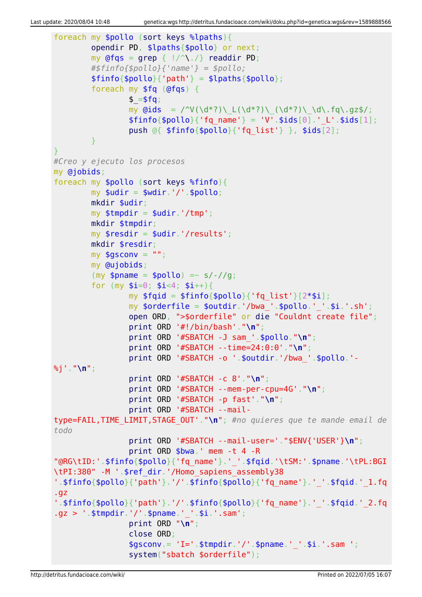```
foreach my $pollo (sort keys %lpaths){
          opendir PD, $lpaths{$pollo} or next;
         my @fqs = qrep { |}/^{\wedge}readdir PD;
          #$finfo{$pollo}{'name'} = $pollo;
         $finfo{$pollo}{'parh'} = $lpaths{$pollo}; foreach my $fq (@fqs) {
                  $ = $fg;my \ddot{\text{Gids}} = \frac{\text{V}(\ddot{\text{d}}^*)\left(\frac{d^*}{\text{d}}\right)\left(\frac{d^*}{\text{d}}\right)\left(\frac{d^*}{\text{d}}\right)}{\text{d}^*}$finfo{$pollo}{'rq name'} = 'V'.$ids[0].' L'.$ids[1]; push @{ $finfo{$pollo}{'fq_list'} }, $ids[2];
 }
}
#Creo y ejecuto los procesos
my @jobids;
foreach my $pollo (sort keys %finfo){
         mv $udir = $wdir.'/'.$pollo:
          mkdir $udir;
         my $tmpdir = $udir.'/tmp'; mkdir $tmpdir;
         my $resdir = $udir.'/results';
          mkdir $resdir;
        my $gsconv = " ";
          my @ujobids;
         (my $pname = $pollo) =~ s/-//g;
         for (my $i=0; $i<4; $i++){}my $fqid = $finfo{$pollo}{'fg list'}[2*$i];my \text{porderfile} = \text{poutdir.}'/\text{bwa}. \text{pollo.}''.'.\text{si.}'.s\text{h'};
                  open ORD, ">$orderfile" or die "Couldnt create file";
                  print ORD '#!/bin/bash'."\n";
                  print ORD '#SBATCH -J sam_'.$pollo."\n";
                   print ORD '#SBATCH --time=24:0:0'."\n";
                  print ORD '#SBATCH -o '.$outdir.'/bwa_'.$pollo.'-
%j'."\n";
                  print ORD '#SBATCH -c 8'."\n";
                  print ORD '#SBATCH --mem-per-cpu=4G'."\n";
                  print ORD '#SBATCH -p fast'."\n";
                  print ORD '#SBATCH --mail-
type=FAIL,TIME_LIMIT,STAGE_OUT'."\n"; #no quieres que te mande email de
todo
                  print ORD '#SBATCH --mail-user='."$ENV{'USER'}\n";
                  print ORD $bwa.' mem -t 4 -R
"@RG\tID:'.$finfo{$pollo}{'fq_name'}.'_'.$fqid.'\tSM:'.$pname.'\tPL:BGI
\tPI:380" -M '.$ref_dir.'/Homo_sapiens_assembly38
'.$finfo{$pollo}{'path'}.'/'.$finfo{$pollo}{'fq_name'}.'_'.$fqid.'_1.fq
.gz
'.$finfo{$pollo}{'path'}.'/'.$finfo{$pollo}{'fq_name'}.'_'.$fqid.'_2.fq
.gz > '.$tmpdir.'/'.$pname.'_'.$i.'.sam';
                  print ORD "\n";
                   close ORD;
                  $gsconv = 'I='. $tmodir.'/'.$pname.''.§i.'.sam '; system("sbatch $orderfile");
```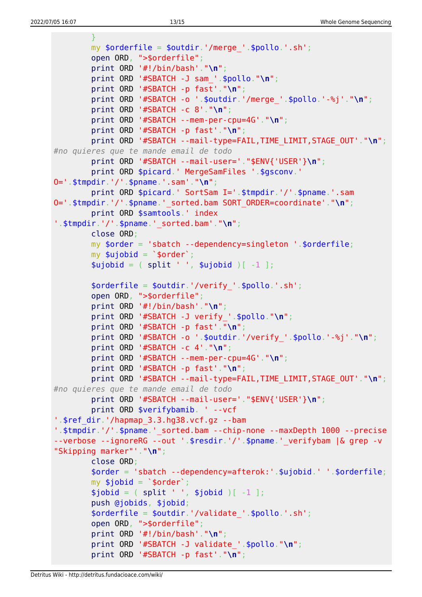```
 }
         my $orderfile = $outdir.'/merge_'.$pollo.'.sh';
         open ORD, ">$orderfile";
         print ORD '#!/bin/bash'."\n";
         print ORD '#SBATCH -J sam_'.$pollo."\n";
         print ORD '#SBATCH -p fast'."\n";
         print ORD '#SBATCH -o '.$outdir.'/merge_'.$pollo.'-%j'."\n";
         print ORD '#SBATCH -c 8'."\n";
         print ORD '#SBATCH --mem-per-cpu=4G'."\n";
         print ORD '#SBATCH -p fast'."\n";
         print ORD '#SBATCH --mail-type=FAIL,TIME_LIMIT,STAGE_OUT'."\n";
#no quieres que te mande email de todo
         print ORD '#SBATCH --mail-user='."$ENV{'USER'}\n";
         print ORD $picard.' MergeSamFiles '.$gsconv.'
O='.$tmpdir.'/'.$pname.'.sam'."\n";
         print ORD $picard.' SortSam I='.$tmpdir.'/'.$pname.'.sam
O='.$tmpdir.'/'.$pname.'_sorted.bam SORT_ORDER=coordinate'."\n";
         print ORD $samtools.' index
'.$tmpdir.'/'.$pname.'_sorted.bam'."\n";
         close ORD;
         my $order = 'sbatch --dependency=singleton '.$orderfile;
        my $ujobid = `$order';split ' ', $ujobid )[-1 ]; $orderfile = $outdir.'/verify_'.$pollo.'.sh';
         open ORD, ">$orderfile";
         print ORD '#!/bin/bash'."\n";
         print ORD '#SBATCH -J verify_'.$pollo."\n";
         print ORD '#SBATCH -p fast'."\n";
         print ORD '#SBATCH -o '.$outdir.'/verify_'.$pollo.'-%j'."\n";
         print ORD '#SBATCH -c 4'."\n";
         print ORD '#SBATCH --mem-per-cpu=4G'."\n";
         print ORD '#SBATCH -p fast'."\n";
         print ORD '#SBATCH --mail-type=FAIL,TIME_LIMIT,STAGE_OUT'."\n";
#no quieres que te mande email de todo
         print ORD '#SBATCH --mail-user='."$ENV{'USER'}\n";
         print ORD $verifybamib. ' --vcf
'.$ref_dir.'/hapmap_3.3.hg38.vcf.gz --bam
'.$tmpdir.'/'.$pname.' sorted.bam --chip-none --maxDepth 1000 --precise
--verbose --ignoreRG --out '.$resdir.'/'.$pname.' verifybam |& grep -v
"Skipping marker"'."\n";
         close ORD;
         $order = 'sbatch --dependency=afterok:'.$ujobid.' '.$orderfile;
        my $jobid = `$order';split ' ', $jobid )[-1 ]; push @jobids, $jobid;
         $orderfile = $outdir.'/validate_'.$pollo.'.sh';
         open ORD, ">$orderfile";
         print ORD '#!/bin/bash'."\n";
         print ORD '#SBATCH -J validate_'.$pollo."\n";
         print ORD '#SBATCH -p fast'."\n";
```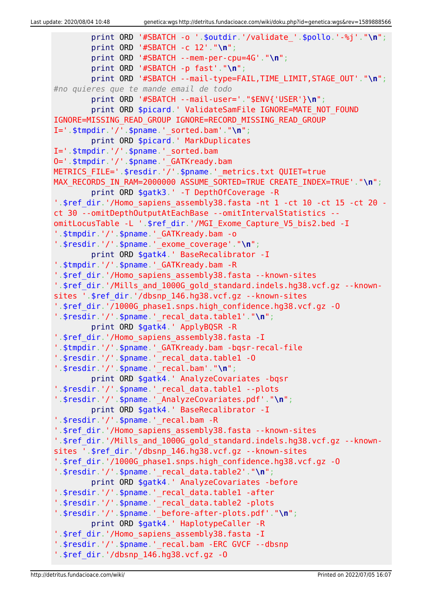```
 print ORD '#SBATCH -o '.$outdir.'/validate_'.$pollo.'-%j'."\n";
         print ORD '#SBATCH -c 12'."\n";
         print ORD '#SBATCH --mem-per-cpu=4G'."\n";
         print ORD '#SBATCH -p fast'."\n";
         print ORD '#SBATCH --mail-type=FAIL,TIME_LIMIT,STAGE_OUT'."\n";
#no quieres que te mande email de todo
         print ORD '#SBATCH --mail-user='."$ENV{'USER'}\n";
        print ORD $picard.' ValidateSamFile IGNORE=MATE NOT FOUND
IGNORE=MISSING_READ_GROUP IGNORE=RECORD_MISSING_READ_GROUP
I='.$tmpdir.'/'.$pname.'_sorted.bam'."\n";
         print ORD $picard.' MarkDuplicates
I='.$tmpdir.'/'.$pname.' sorted.bam
O='.$tmpdir.'/'.$pname.'_GATKready.bam
METRICS_FILE='.$resdir.'/'.$pname.'_metrics.txt QUIET=true
MAX RECORDS IN RAM=2000000 ASSUME SORTED=TRUE CREATE INDEX=TRUE'."\n";
         print ORD $gatk3.' -T DepthOfCoverage -R
'.$ref dir.'/Homo sapiens assembly38.fasta -nt 1 -ct 10 -ct 15 -ct 20 -
ct 30 --omitDepthOutputAtEachBase --omitIntervalStatistics --
omitLocusTable -L '.$ref_dir.'/MGI_Exome_Capture_V5_bis2.bed -I
'.$tmpdir.'/'.$pname.'_GATKready.bam -o
'.$resdir.'/'.$pname.'_exome_coverage'."\n";
         print ORD $gatk4.' BaseRecalibrator -I
'.$tmpdir.'/'.$pname.' GATKready.bam -R
'.$ref dir.'/Homo sapiens assembly38.fasta --known-sites
'.$ref_dir.'/Mills_and_1000G_gold_standard.indels.hg38.vcf.gz --known-
sites '.$ref_dir.'/dbsnp_146.hg38.vcf.gz --known-sites
'.$ref_dir.'/1000G_phase1.snps.high_confidence.hg38.vcf.gz -O
'.$resdir.'/'.$pname.'_recal_data.table1'."\n";
         print ORD $gatk4.' ApplyBQSR -R
'.$ref_dir.'/Homo_sapiens_assembly38.fasta -I
'.$tmpdir.'/'.$pname.'_GATKready.bam -bqsr-recal-file
'.$resdir.'/'.$pname.'_recal_data.table1 -O
'.$resdir.'/'.$pname.'_recal.bam'."\n";
         print ORD $gatk4.' AnalyzeCovariates -bqsr
'.$resdir.'/'.$pname.'_recal_data.table1 --plots
'.$resdir.'/'.$pname.'_AnalyzeCovariates.pdf'."\n";
         print ORD $gatk4.' BaseRecalibrator -I
'.$resdir.'/'.$pname.'_recal.bam -R
'.$ref_dir.'/Homo_sapiens_assembly38.fasta --known-sites
'.$ref_dir.'/Mills_and_1000G_gold_standard.indels.hg38.vcf.gz --known-
sites '.$ref_dir.'/dbsnp_146.hg38.vcf.gz --known-sites
'.$ref_dir.'/1000G_phase1.snps.high_confidence.hg38.vcf.gz -O
'.$resdir.'/'.$pname.'_recal_data.table2'."\n";
         print ORD $gatk4.' AnalyzeCovariates -before
'.$resdir.'/'.$pname.'_recal_data.table1 -after
'.$resdir.'/'.$pname.'_recal_data.table2 -plots
'.$resdir.'/'.$pname.'_before-after-plots.pdf'."\n";
         print ORD $gatk4.' HaplotypeCaller -R
'.$ref_dir.'/Homo_sapiens_assembly38.fasta -I
'.$resdir.'/'.$pname.'_recal.bam -ERC GVCF --dbsnp
'.$ref_dir.'/dbsnp_146.hg38.vcf.gz -O
```